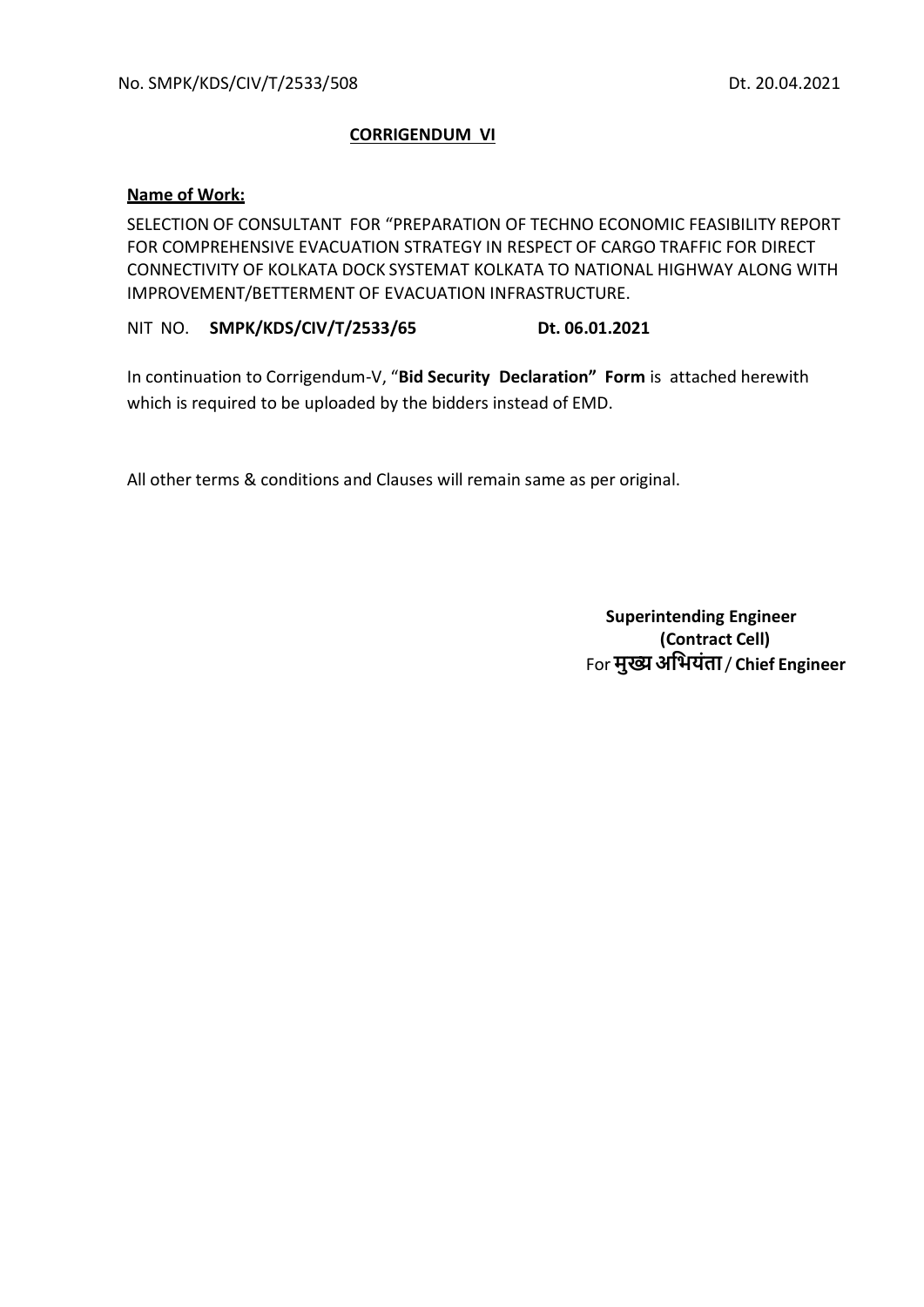## **CORRIGENDUM VI**

## **Name of Work:**

SELECTION OF CONSULTANT FOR "PREPARATION OF TECHNO ECONOMIC FEASIBILITY REPORT FOR COMPREHENSIVE EVACUATION STRATEGY IN RESPECT OF CARGO TRAFFIC FOR DIRECT CONNECTIVITY OF KOLKATA DOCK SYSTEMAT KOLKATA TO NATIONAL HIGHWAY ALONG WITH IMPROVEMENT/BETTERMENT OF EVACUATION INFRASTRUCTURE.

NIT NO. **SMPK/KDS/CIV/T/2533/65 Dt. 06.01.2021**

In continuation to Corrigendum-V, "**Bid Security Declaration" Form** is attached herewith which is required to be uploaded by the bidders instead of EMD.

All other terms & conditions and Clauses will remain same as per original.

 **Superintending Engineer (Contract Cell)** For **मुख्यअभियंता**/ **Chief Engineer**